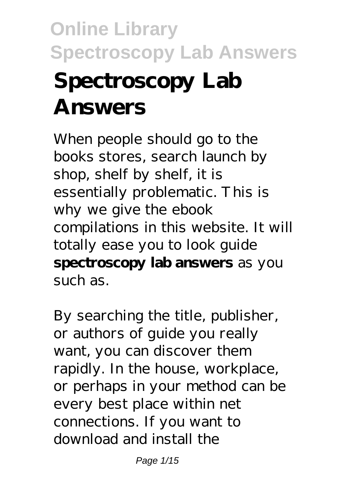# **Online Library Spectroscopy Lab Answers Spectroscopy Lab Answers**

When people should go to the books stores, search launch by shop, shelf by shelf, it is essentially problematic. This is why we give the ebook compilations in this website. It will totally ease you to look guide **spectroscopy lab answers** as you such as.

By searching the title, publisher, or authors of guide you really want, you can discover them rapidly. In the house, workplace, or perhaps in your method can be every best place within net connections. If you want to download and install the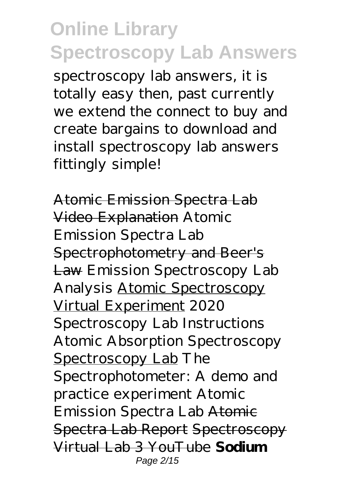spectroscopy lab answers, it is totally easy then, past currently we extend the connect to buy and create bargains to download and install spectroscopy lab answers fittingly simple!

Atomic Emission Spectra Lab Video Explanation *Atomic Emission Spectra Lab* Spectrophotometry and Beer's Law Emission Spectroscopy Lab Analysis Atomic Spectroscopy Virtual Experiment *2020 Spectroscopy Lab Instructions Atomic Absorption Spectroscopy* Spectroscopy Lab *The Spectrophotometer: A demo and practice experiment Atomic Emission Spectra Lab* Atomic Spectra Lab Report Spectroscopy Virtual Lab 3 YouTube **Sodium** Page 2/15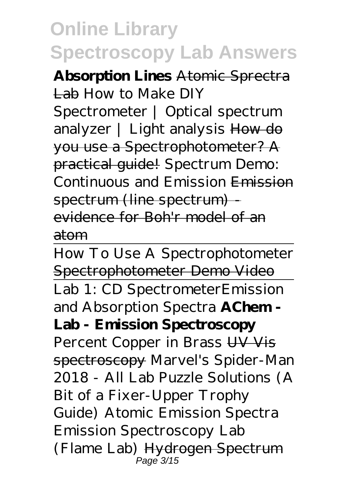**Absorption Lines** Atomic Sprectra Lab How to Make DIY Spectrometer | Optical spectrum analyzer | Light analysis How do you use a Spectrophotometer? A practical guide! *Spectrum Demo: Continuous and Emission* Emission spectrum (line spectrum) evidence for Boh'r model of an atom

How To Use A Spectrophotometer Spectrophotometer Demo Video Lab 1: CD Spectrometer*Emission and Absorption Spectra* **AChem - Lab - Emission Spectroscopy** *Percent Copper in Brass* UV Vis spectroscopy Marvel's Spider-Man 2018 - All Lab Puzzle Solutions (A Bit of a Fixer-Upper Trophy Guide) Atomic Emission Spectra Emission Spectroscopy Lab (Flame Lab) Hydrogen Spectrum Page 3/15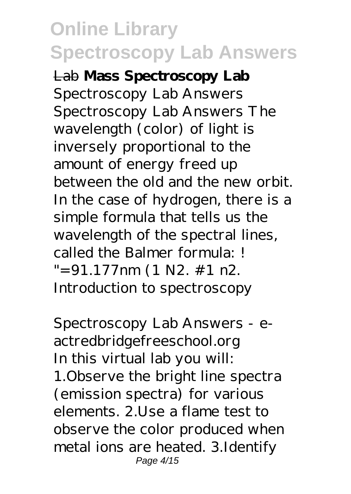Lab **Mass Spectroscopy Lab** *Spectroscopy Lab Answers* Spectroscopy Lab Answers The wavelength (color) of light is inversely proportional to the amount of energy freed up between the old and the new orbit. In the case of hydrogen, there is a simple formula that tells us the wavelength of the spectral lines, called the Balmer formula: !  $"=91.177$ nm (1 N2. #1 n2. Introduction to spectroscopy

*Spectroscopy Lab Answers - eactredbridgefreeschool.org* In this virtual lab you will: 1.Observe the bright line spectra (emission spectra) for various elements. 2.Use a flame test to observe the color produced when metal ions are heated. 3.Identify Page 4/15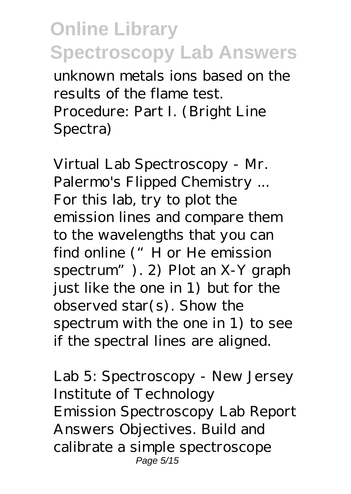unknown metals ions based on the results of the flame test. Procedure: Part I. (Bright Line Spectra)

*Virtual Lab Spectroscopy - Mr. Palermo's Flipped Chemistry ...* For this lab, try to plot the emission lines and compare them to the wavelengths that you can find online ("H or He emission spectrum"). 2) Plot an X-Y graph just like the one in 1) but for the observed star(s). Show the spectrum with the one in 1) to see if the spectral lines are aligned.

*Lab 5: Spectroscopy - New Jersey Institute of Technology* Emission Spectroscopy Lab Report Answers Objectives. Build and calibrate a simple spectroscope Page 5/15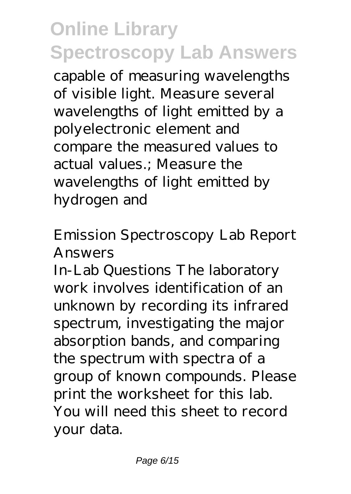capable of measuring wavelengths of visible light. Measure several wavelengths of light emitted by a polyelectronic element and compare the measured values to actual values.; Measure the wavelengths of light emitted by hydrogen and

#### *Emission Spectroscopy Lab Report Answers*

In-Lab Questions The laboratory work involves identification of an unknown by recording its infrared spectrum, investigating the major absorption bands, and comparing the spectrum with spectra of a group of known compounds. Please print the worksheet for this lab. You will need this sheet to record your data.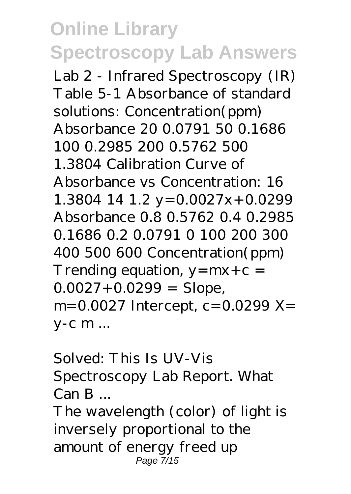*Lab 2 - Infrared Spectroscopy (IR)* Table 5-1 Absorbance of standard solutions: Concentration(ppm) Absorbance 20 0.0791 50 0.1686 100 0.2985 200 0.5762 500 1.3804 Calibration Curve of Absorbance vs Concentration: 16 1.3804 14 1.2  $y = 0.0027x + 0.0299$ Absorbance 0.8 0.5762 0.4 0.2985 0.1686 0.2 0.0791 0 100 200 300 400 500 600 Concentration(ppm) Trending equation,  $y = mx + c =$  $0.0027 + 0.0299 =$  Slope, m=0.0027 Intercept, c=0.0299 X= y-c m ...

#### *Solved: This Is UV-Vis Spectroscopy Lab Report. What Can B ...*

The wavelength (color) of light is inversely proportional to the amount of energy freed up Page 7/15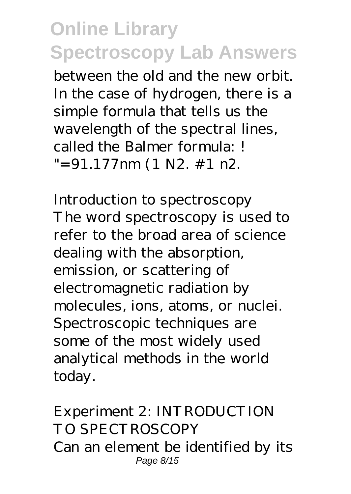between the old and the new orbit. In the case of hydrogen, there is a simple formula that tells us the wavelength of the spectral lines, called the Balmer formula: !  $"=91.177$ nm (1 N2. #1 n2.

*Introduction to spectroscopy* The word spectroscopy is used to refer to the broad area of science dealing with the absorption, emission, or scattering of electromagnetic radiation by molecules, ions, atoms, or nuclei. Spectroscopic techniques are some of the most widely used analytical methods in the world today.

*Experiment 2: INTRODUCTION TO SPECTROSCOPY* Can an element be identified by its Page 8/15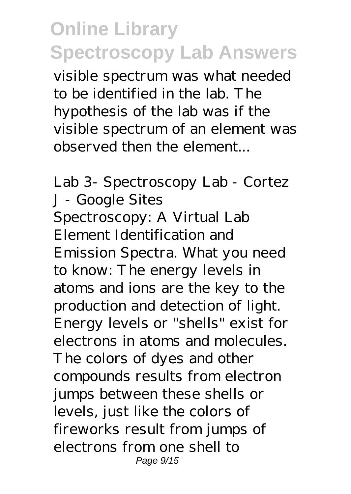visible spectrum was what needed to be identified in the lab. The hypothesis of the lab was if the visible spectrum of an element was observed then the element...

*Lab 3- Spectroscopy Lab - Cortez J - Google Sites* Spectroscopy: A Virtual Lab Element Identification and Emission Spectra. What you need to know: The energy levels in atoms and ions are the key to the production and detection of light. Energy levels or "shells" exist for electrons in atoms and molecules. The colors of dyes and other compounds results from electron jumps between these shells or levels, just like the colors of fireworks result from jumps of electrons from one shell to Page 9/15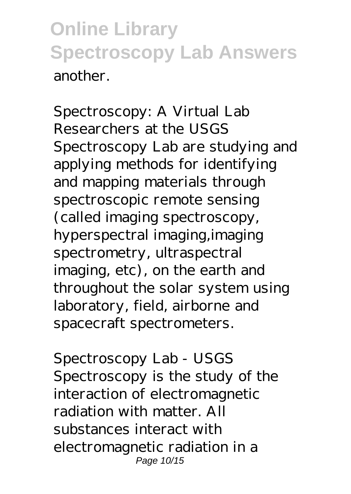*Spectroscopy: A Virtual Lab* Researchers at the USGS Spectroscopy Lab are studying and applying methods for identifying and mapping materials through spectroscopic remote sensing (called imaging spectroscopy, hyperspectral imaging,imaging spectrometry, ultraspectral imaging, etc), on the earth and throughout the solar system using laboratory, field, airborne and spacecraft spectrometers.

*Spectroscopy Lab - USGS* Spectroscopy is the study of the interaction of electromagnetic radiation with matter. All substances interact with electromagnetic radiation in a Page 10/15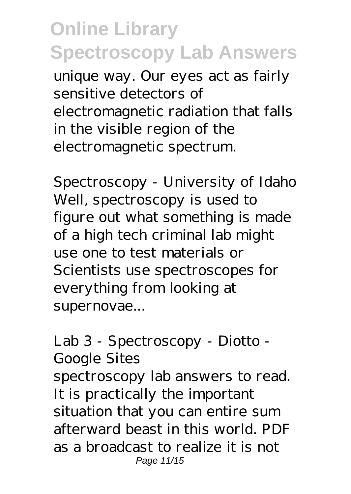unique way. Our eyes act as fairly sensitive detectors of electromagnetic radiation that falls in the visible region of the electromagnetic spectrum.

*Spectroscopy - University of Idaho* Well, spectroscopy is used to figure out what something is made of a high tech criminal lab might use one to test materials or Scientists use spectroscopes for everything from looking at supernovae...

#### *Lab 3 - Spectroscopy - Diotto - Google Sites*

spectroscopy lab answers to read. It is practically the important situation that you can entire sum afterward beast in this world. PDF as a broadcast to realize it is not Page 11/15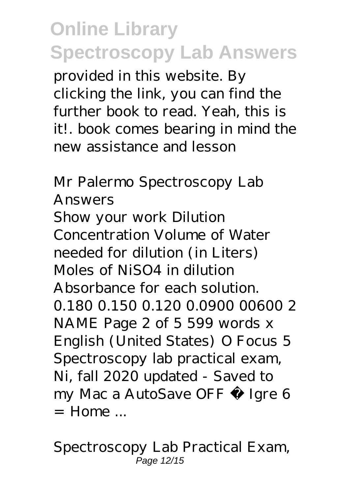provided in this website. By clicking the link, you can find the further book to read. Yeah, this is it!. book comes bearing in mind the new assistance and lesson

*Mr Palermo Spectroscopy Lab Answers* Show your work Dilution Concentration Volume of Water needed for dilution (in Liters) Moles of NiSO4 in dilution Absorbance for each solution. 0.180 0.150 0.120 0.0900 00600 2 NAME Page 2 of 5 599 words x English (United States) O Focus 5 Spectroscopy lab practical exam, Ni, fall 2020 updated - Saved to my Mac a AutoSave OFF À Igre 6  $=$  Home

*Spectroscopy Lab Practical Exam,* Page 12/15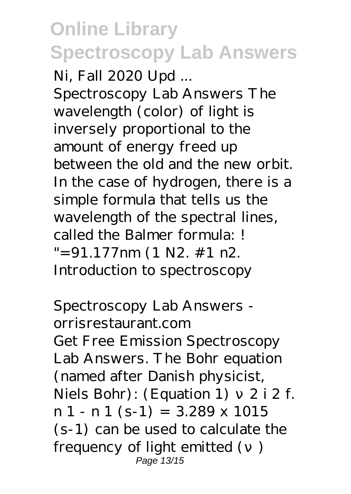*Ni, Fall 2020 Upd ...* Spectroscopy Lab Answers The wavelength (color) of light is inversely proportional to the amount of energy freed up between the old and the new orbit. In the case of hydrogen, there is a simple formula that tells us the wavelength of the spectral lines, called the Balmer formula: !  $"=91.177nm (1 N2. # 1 n2.$ Introduction to spectroscopy

*Spectroscopy Lab Answers orrisrestaurant.com* Get Free Emission Spectroscopy Lab Answers. The Bohr equation (named after Danish physicist, Niels Bohr):  $(Equation 1)$  2 i 2 f.  $n 1 - n 1$  (s-1) = 3.289 x 1015 (s-1) can be used to calculate the frequency of light emitted () Page 13/15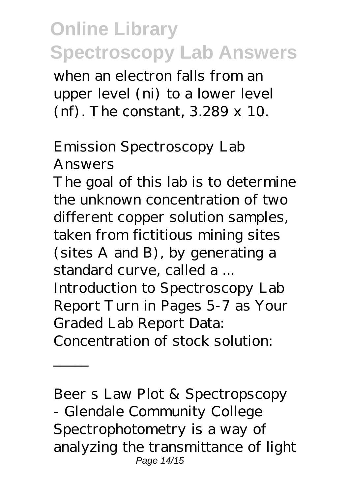when an electron falls from an upper level (ni) to a lower level (nf). The constant, 3.289 x 10.

#### *Emission Spectroscopy Lab Answers*

The goal of this lab is to determine the unknown concentration of two different copper solution samples, taken from fictitious mining sites (sites A and B), by generating a standard curve, called a ... Introduction to Spectroscopy Lab Report Turn in Pages 5-7 as Your Graded Lab Report Data: Concentration of stock solution:

*Beer s Law Plot & Spectropscopy - Glendale Community College* Spectrophotometry is a way of analyzing the transmittance of light Page 14/15

 $\frac{1}{2}$